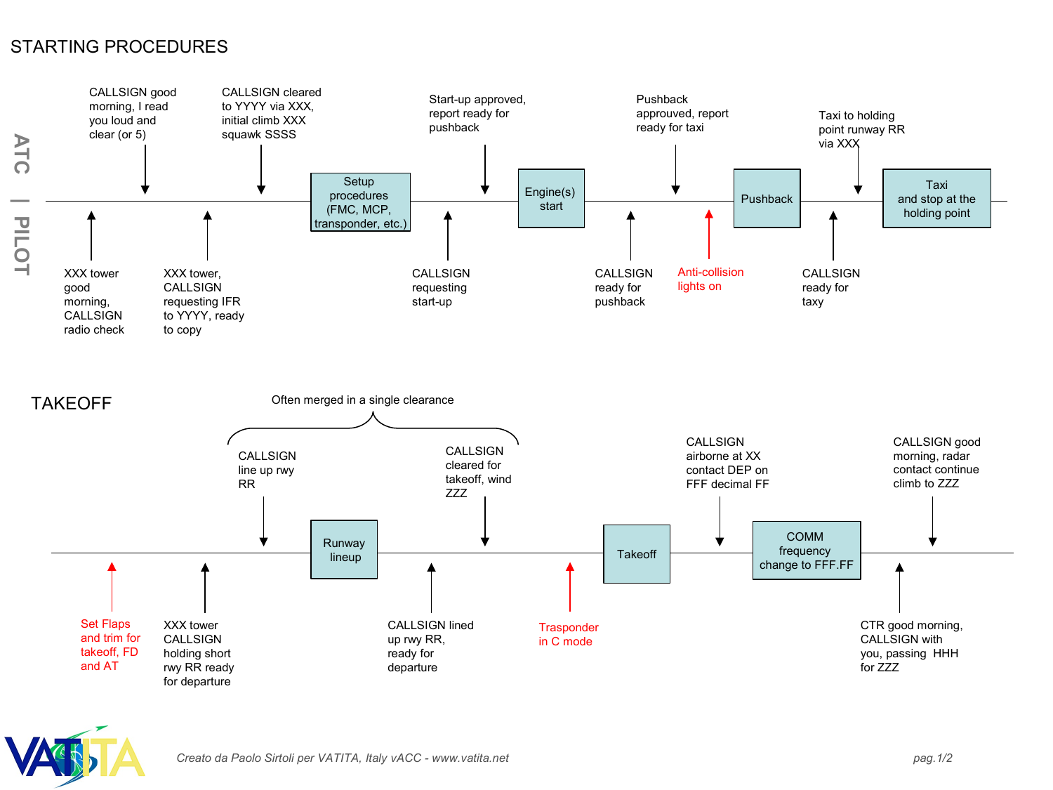## STARTING PROCEDURES